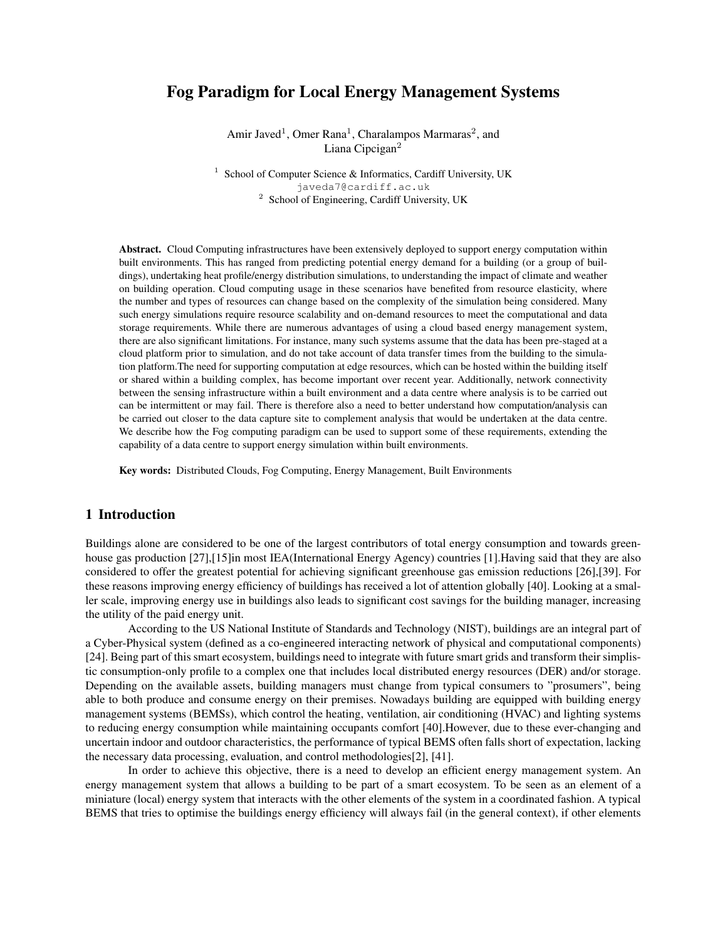# **Fog Paradigm for Local Energy Management Systems**

Amir Javed<sup>1</sup>, Omer Rana<sup>1</sup>, Charalampos Marmaras<sup>2</sup>, and Liana Cipcigan<sup>2</sup>

<sup>1</sup> School of Computer Science & Informatics, Cardiff University, UK javeda7@cardiff.ac.uk <sup>2</sup> School of Engineering, Cardiff University, UK

**Abstract.** Cloud Computing infrastructures have been extensively deployed to support energy computation within built environments. This has ranged from predicting potential energy demand for a building (or a group of buildings), undertaking heat profile/energy distribution simulations, to understanding the impact of climate and weather on building operation. Cloud computing usage in these scenarios have benefited from resource elasticity, where the number and types of resources can change based on the complexity of the simulation being considered. Many such energy simulations require resource scalability and on-demand resources to meet the computational and data storage requirements. While there are numerous advantages of using a cloud based energy management system, there are also significant limitations. For instance, many such systems assume that the data has been pre-staged at a cloud platform prior to simulation, and do not take account of data transfer times from the building to the simulation platform.The need for supporting computation at edge resources, which can be hosted within the building itself or shared within a building complex, has become important over recent year. Additionally, network connectivity between the sensing infrastructure within a built environment and a data centre where analysis is to be carried out can be intermittent or may fail. There is therefore also a need to better understand how computation/analysis can be carried out closer to the data capture site to complement analysis that would be undertaken at the data centre. We describe how the Fog computing paradigm can be used to support some of these requirements, extending the capability of a data centre to support energy simulation within built environments.

**Key words:** Distributed Clouds, Fog Computing, Energy Management, Built Environments

### **1 Introduction**

Buildings alone are considered to be one of the largest contributors of total energy consumption and towards greenhouse gas production [27],[15]in most IEA(International Energy Agency) countries [1].Having said that they are also considered to offer the greatest potential for achieving significant greenhouse gas emission reductions [26],[39]. For these reasons improving energy efficiency of buildings has received a lot of attention globally [40]. Looking at a smaller scale, improving energy use in buildings also leads to significant cost savings for the building manager, increasing the utility of the paid energy unit.

According to the US National Institute of Standards and Technology (NIST), buildings are an integral part of a Cyber-Physical system (defined as a co-engineered interacting network of physical and computational components) [24]. Being part of this smart ecosystem, buildings need to integrate with future smart grids and transform their simplistic consumption-only profile to a complex one that includes local distributed energy resources (DER) and/or storage. Depending on the available assets, building managers must change from typical consumers to "prosumers", being able to both produce and consume energy on their premises. Nowadays building are equipped with building energy management systems (BEMSs), which control the heating, ventilation, air conditioning (HVAC) and lighting systems to reducing energy consumption while maintaining occupants comfort [40].However, due to these ever-changing and uncertain indoor and outdoor characteristics, the performance of typical BEMS often falls short of expectation, lacking the necessary data processing, evaluation, and control methodologies[2], [41].

In order to achieve this objective, there is a need to develop an efficient energy management system. An energy management system that allows a building to be part of a smart ecosystem. To be seen as an element of a miniature (local) energy system that interacts with the other elements of the system in a coordinated fashion. A typical BEMS that tries to optimise the buildings energy efficiency will always fail (in the general context), if other elements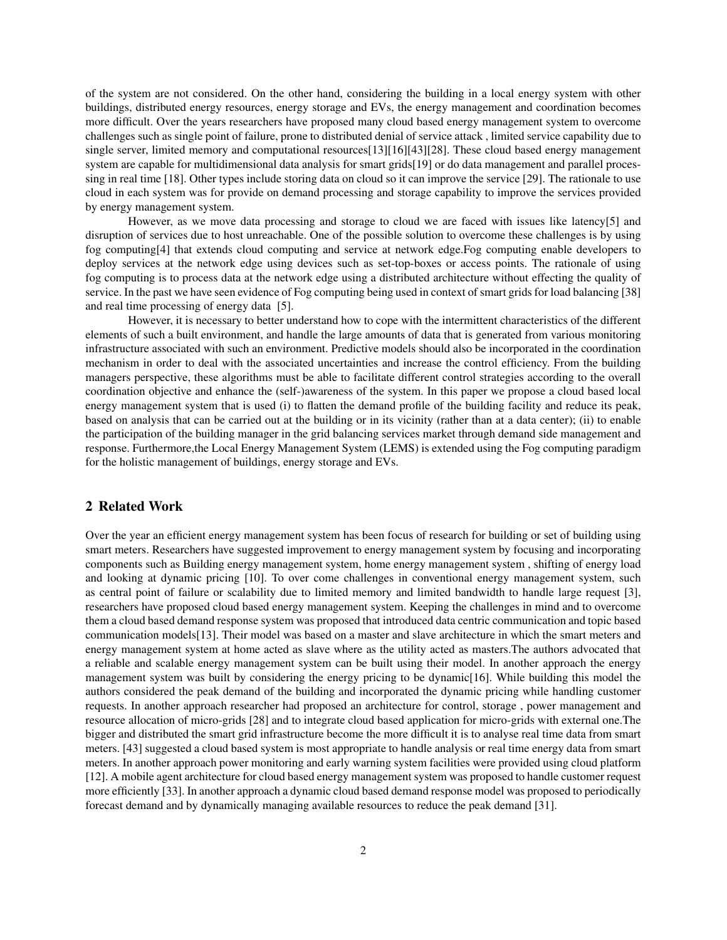of the system are not considered. On the other hand, considering the building in a local energy system with other buildings, distributed energy resources, energy storage and EVs, the energy management and coordination becomes more difficult. Over the years researchers have proposed many cloud based energy management system to overcome challenges such as single point of failure, prone to distributed denial of service attack , limited service capability due to single server, limited memory and computational resources[13][16][43][28]. These cloud based energy management system are capable for multidimensional data analysis for smart grids[19] or do data management and parallel processing in real time [18]. Other types include storing data on cloud so it can improve the service [29]. The rationale to use cloud in each system was for provide on demand processing and storage capability to improve the services provided by energy management system.

However, as we move data processing and storage to cloud we are faced with issues like latency[5] and disruption of services due to host unreachable. One of the possible solution to overcome these challenges is by using fog computing[4] that extends cloud computing and service at network edge.Fog computing enable developers to deploy services at the network edge using devices such as set-top-boxes or access points. The rationale of using fog computing is to process data at the network edge using a distributed architecture without effecting the quality of service. In the past we have seen evidence of Fog computing being used in context of smart grids for load balancing [38] and real time processing of energy data [5].

However, it is necessary to better understand how to cope with the intermittent characteristics of the different elements of such a built environment, and handle the large amounts of data that is generated from various monitoring infrastructure associated with such an environment. Predictive models should also be incorporated in the coordination mechanism in order to deal with the associated uncertainties and increase the control efficiency. From the building managers perspective, these algorithms must be able to facilitate different control strategies according to the overall coordination objective and enhance the (self-)awareness of the system. In this paper we propose a cloud based local energy management system that is used (i) to flatten the demand profile of the building facility and reduce its peak, based on analysis that can be carried out at the building or in its vicinity (rather than at a data center); (ii) to enable the participation of the building manager in the grid balancing services market through demand side management and response. Furthermore,the Local Energy Management System (LEMS) is extended using the Fog computing paradigm for the holistic management of buildings, energy storage and EVs.

### **2 Related Work**

Over the year an efficient energy management system has been focus of research for building or set of building using smart meters. Researchers have suggested improvement to energy management system by focusing and incorporating components such as Building energy management system, home energy management system , shifting of energy load and looking at dynamic pricing [10]. To over come challenges in conventional energy management system, such as central point of failure or scalability due to limited memory and limited bandwidth to handle large request [3], researchers have proposed cloud based energy management system. Keeping the challenges in mind and to overcome them a cloud based demand response system was proposed that introduced data centric communication and topic based communication models[13]. Their model was based on a master and slave architecture in which the smart meters and energy management system at home acted as slave where as the utility acted as masters.The authors advocated that a reliable and scalable energy management system can be built using their model. In another approach the energy management system was built by considering the energy pricing to be dynamic[16]. While building this model the authors considered the peak demand of the building and incorporated the dynamic pricing while handling customer requests. In another approach researcher had proposed an architecture for control, storage , power management and resource allocation of micro-grids [28] and to integrate cloud based application for micro-grids with external one.The bigger and distributed the smart grid infrastructure become the more difficult it is to analyse real time data from smart meters. [43] suggested a cloud based system is most appropriate to handle analysis or real time energy data from smart meters. In another approach power monitoring and early warning system facilities were provided using cloud platform [12]. A mobile agent architecture for cloud based energy management system was proposed to handle customer request more efficiently [33]. In another approach a dynamic cloud based demand response model was proposed to periodically forecast demand and by dynamically managing available resources to reduce the peak demand [31].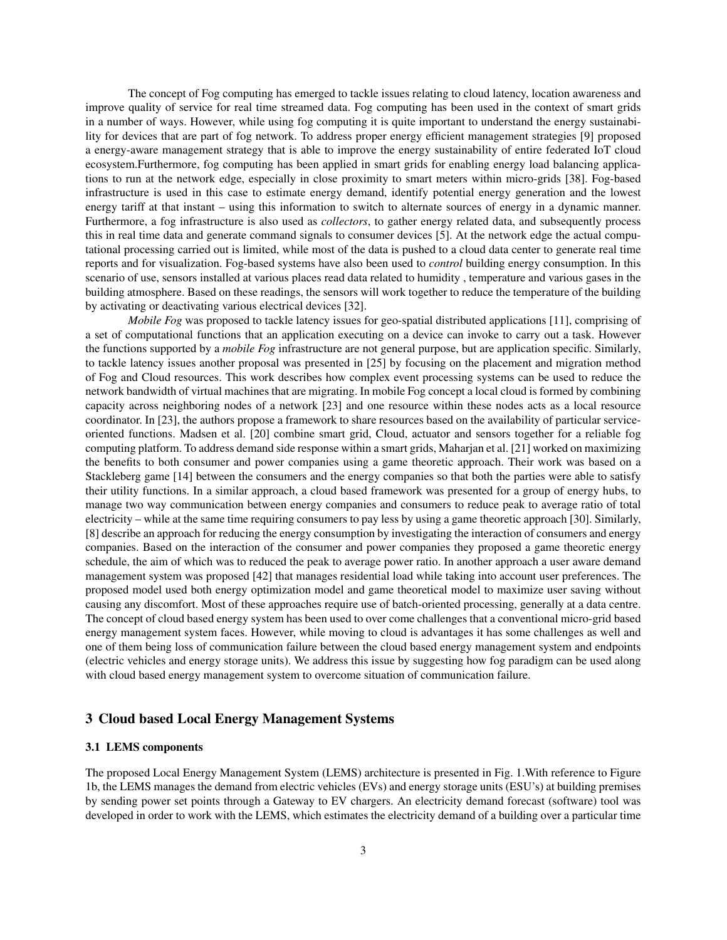The concept of Fog computing has emerged to tackle issues relating to cloud latency, location awareness and improve quality of service for real time streamed data. Fog computing has been used in the context of smart grids in a number of ways. However, while using fog computing it is quite important to understand the energy sustainability for devices that are part of fog network. To address proper energy efficient management strategies [9] proposed a energy-aware management strategy that is able to improve the energy sustainability of entire federated IoT cloud ecosystem.Furthermore, fog computing has been applied in smart grids for enabling energy load balancing applications to run at the network edge, especially in close proximity to smart meters within micro-grids [38]. Fog-based infrastructure is used in this case to estimate energy demand, identify potential energy generation and the lowest energy tariff at that instant – using this information to switch to alternate sources of energy in a dynamic manner. Furthermore, a fog infrastructure is also used as *collectors*, to gather energy related data, and subsequently process this in real time data and generate command signals to consumer devices [5]. At the network edge the actual computational processing carried out is limited, while most of the data is pushed to a cloud data center to generate real time reports and for visualization. Fog-based systems have also been used to *control* building energy consumption. In this scenario of use, sensors installed at various places read data related to humidity , temperature and various gases in the building atmosphere. Based on these readings, the sensors will work together to reduce the temperature of the building by activating or deactivating various electrical devices [32].

*Mobile Fog* was proposed to tackle latency issues for geo-spatial distributed applications [11], comprising of a set of computational functions that an application executing on a device can invoke to carry out a task. However the functions supported by a *mobile Fog* infrastructure are not general purpose, but are application specific. Similarly, to tackle latency issues another proposal was presented in [25] by focusing on the placement and migration method of Fog and Cloud resources. This work describes how complex event processing systems can be used to reduce the network bandwidth of virtual machines that are migrating. In mobile Fog concept a local cloud is formed by combining capacity across neighboring nodes of a network [23] and one resource within these nodes acts as a local resource coordinator. In [23], the authors propose a framework to share resources based on the availability of particular serviceoriented functions. Madsen et al. [20] combine smart grid, Cloud, actuator and sensors together for a reliable fog computing platform. To address demand side response within a smart grids, Maharjan et al. [21] worked on maximizing the benefits to both consumer and power companies using a game theoretic approach. Their work was based on a Stackleberg game [14] between the consumers and the energy companies so that both the parties were able to satisfy their utility functions. In a similar approach, a cloud based framework was presented for a group of energy hubs, to manage two way communication between energy companies and consumers to reduce peak to average ratio of total electricity – while at the same time requiring consumers to pay less by using a game theoretic approach [30]. Similarly, [8] describe an approach for reducing the energy consumption by investigating the interaction of consumers and energy companies. Based on the interaction of the consumer and power companies they proposed a game theoretic energy schedule, the aim of which was to reduced the peak to average power ratio. In another approach a user aware demand management system was proposed [42] that manages residential load while taking into account user preferences. The proposed model used both energy optimization model and game theoretical model to maximize user saving without causing any discomfort. Most of these approaches require use of batch-oriented processing, generally at a data centre. The concept of cloud based energy system has been used to over come challenges that a conventional micro-grid based energy management system faces. However, while moving to cloud is advantages it has some challenges as well and one of them being loss of communication failure between the cloud based energy management system and endpoints (electric vehicles and energy storage units). We address this issue by suggesting how fog paradigm can be used along with cloud based energy management system to overcome situation of communication failure.

## **3 Cloud based Local Energy Management Systems**

#### **3.1 LEMS components**

The proposed Local Energy Management System (LEMS) architecture is presented in Fig. 1.With reference to Figure 1b, the LEMS manages the demand from electric vehicles (EVs) and energy storage units (ESU's) at building premises by sending power set points through a Gateway to EV chargers. An electricity demand forecast (software) tool was developed in order to work with the LEMS, which estimates the electricity demand of a building over a particular time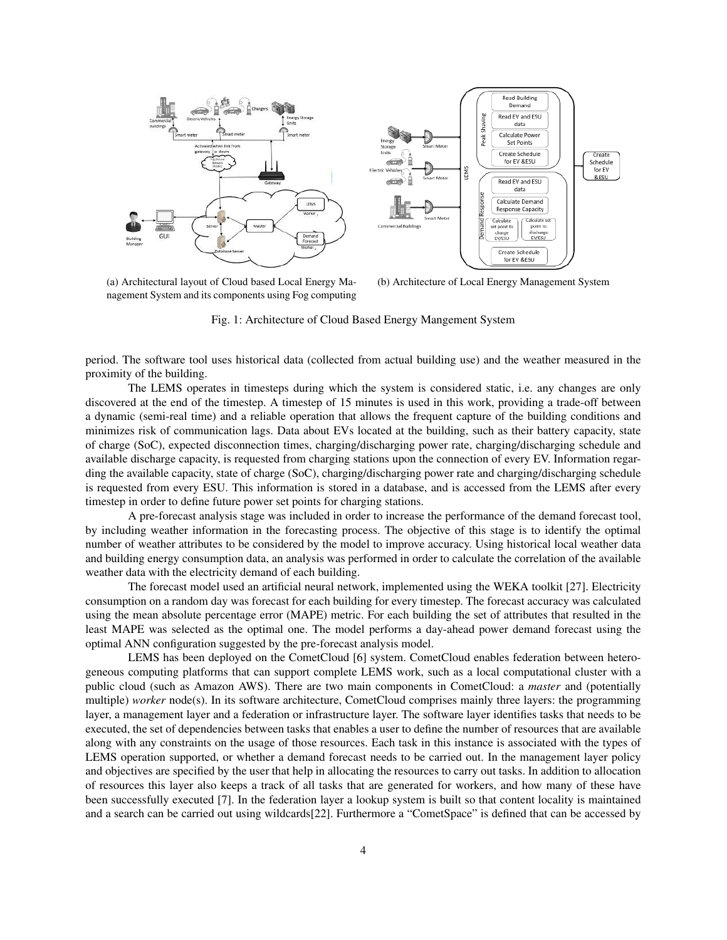

(a) Architectural layout of Cloud based Local Energy Management System and its components using Fog computing

(b) Architecture of Local Energy Management System

Fig. 1: Architecture of Cloud Based Energy Mangement System

period. The software tool uses historical data (collected from actual building use) and the weather measured in the proximity of the building.

The LEMS operates in timesteps during which the system is considered static, i.e. any changes are only discovered at the end of the timestep. A timestep of 15 minutes is used in this work, providing a trade-off between a dynamic (semi-real time) and a reliable operation that allows the frequent capture of the building conditions and minimizes risk of communication lags. Data about EVs located at the building, such as their battery capacity, state of charge (SoC), expected disconnection times, charging/discharging power rate, charging/discharging schedule and available discharge capacity, is requested from charging stations upon the connection of every EV. Information regarding the available capacity, state of charge (SoC), charging/discharging power rate and charging/discharging schedule is requested from every ESU. This information is stored in a database, and is accessed from the LEMS after every timestep in order to define future power set points for charging stations.

A pre-forecast analysis stage was included in order to increase the performance of the demand forecast tool, by including weather information in the forecasting process. The objective of this stage is to identify the optimal number of weather attributes to be considered by the model to improve accuracy. Using historical local weather data and building energy consumption data, an analysis was performed in order to calculate the correlation of the available weather data with the electricity demand of each building.

The forecast model used an artificial neural network, implemented using the WEKA toolkit [27]. Electricity consumption on a random day was forecast for each building for every timestep. The forecast accuracy was calculated using the mean absolute percentage error (MAPE) metric. For each building the set of attributes that resulted in the least MAPE was selected as the optimal one. The model performs a day-ahead power demand forecast using the optimal ANN configuration suggested by the pre-forecast analysis model.

LEMS has been deployed on the CometCloud [6] system. CometCloud enables federation between heterogeneous computing platforms that can support complete LEMS work, such as a local computational cluster with a public cloud (such as Amazon AWS). There are two main components in CometCloud: a *master* and (potentially multiple) *worker* node(s). In its software architecture, CometCloud comprises mainly three layers: the programming layer, a management layer and a federation or infrastructure layer. The software layer identifies tasks that needs to be executed, the set of dependencies between tasks that enables a user to define the number of resources that are available along with any constraints on the usage of those resources. Each task in this instance is associated with the types of LEMS operation supported, or whether a demand forecast needs to be carried out. In the management layer policy and objectives are specified by the user that help in allocating the resources to carry out tasks. In addition to allocation of resources this layer also keeps a track of all tasks that are generated for workers, and how many of these have been successfully executed [7]. In the federation layer a lookup system is built so that content locality is maintained and a search can be carried out using wildcards[22]. Furthermore a "CometSpace" is defined that can be accessed by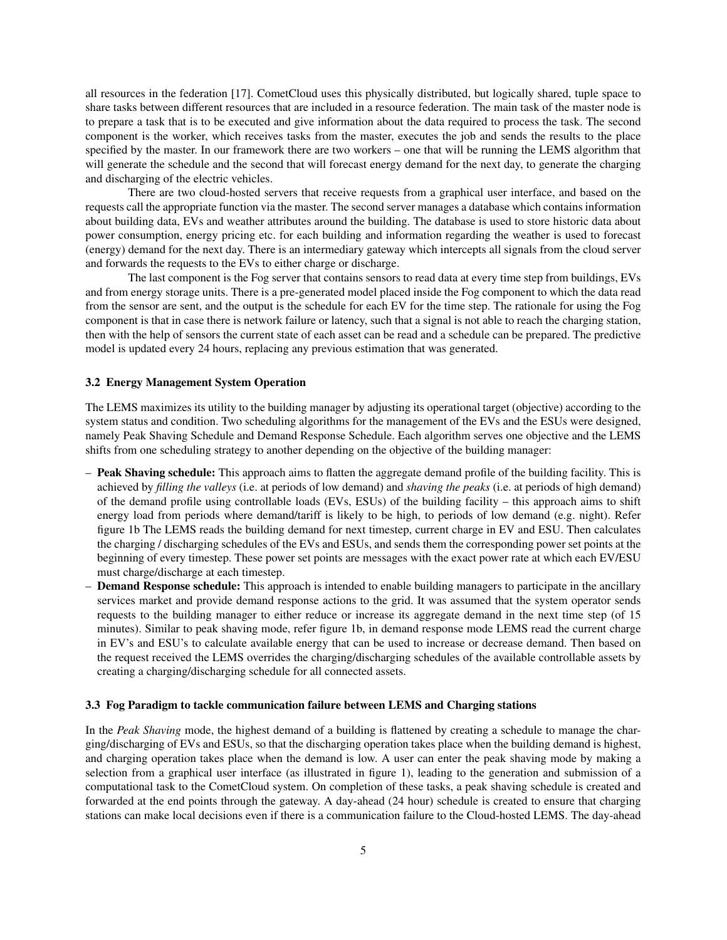all resources in the federation [17]. CometCloud uses this physically distributed, but logically shared, tuple space to share tasks between different resources that are included in a resource federation. The main task of the master node is to prepare a task that is to be executed and give information about the data required to process the task. The second component is the worker, which receives tasks from the master, executes the job and sends the results to the place specified by the master. In our framework there are two workers – one that will be running the LEMS algorithm that will generate the schedule and the second that will forecast energy demand for the next day, to generate the charging and discharging of the electric vehicles.

There are two cloud-hosted servers that receive requests from a graphical user interface, and based on the requests call the appropriate function via the master. The second server manages a database which contains information about building data, EVs and weather attributes around the building. The database is used to store historic data about power consumption, energy pricing etc. for each building and information regarding the weather is used to forecast (energy) demand for the next day. There is an intermediary gateway which intercepts all signals from the cloud server and forwards the requests to the EVs to either charge or discharge.

The last component is the Fog server that contains sensors to read data at every time step from buildings, EVs and from energy storage units. There is a pre-generated model placed inside the Fog component to which the data read from the sensor are sent, and the output is the schedule for each EV for the time step. The rationale for using the Fog component is that in case there is network failure or latency, such that a signal is not able to reach the charging station, then with the help of sensors the current state of each asset can be read and a schedule can be prepared. The predictive model is updated every 24 hours, replacing any previous estimation that was generated.

#### **3.2 Energy Management System Operation**

The LEMS maximizes its utility to the building manager by adjusting its operational target (objective) according to the system status and condition. Two scheduling algorithms for the management of the EVs and the ESUs were designed, namely Peak Shaving Schedule and Demand Response Schedule. Each algorithm serves one objective and the LEMS shifts from one scheduling strategy to another depending on the objective of the building manager:

- **Peak Shaving schedule:** This approach aims to flatten the aggregate demand profile of the building facility. This is achieved by *filling the valleys* (i.e. at periods of low demand) and *shaving the peaks* (i.e. at periods of high demand) of the demand profile using controllable loads (EVs, ESUs) of the building facility – this approach aims to shift energy load from periods where demand/tariff is likely to be high, to periods of low demand (e.g. night). Refer figure 1b The LEMS reads the building demand for next timestep, current charge in EV and ESU. Then calculates the charging / discharging schedules of the EVs and ESUs, and sends them the corresponding power set points at the beginning of every timestep. These power set points are messages with the exact power rate at which each EV/ESU must charge/discharge at each timestep.
- **Demand Response schedule:** This approach is intended to enable building managers to participate in the ancillary services market and provide demand response actions to the grid. It was assumed that the system operator sends requests to the building manager to either reduce or increase its aggregate demand in the next time step (of 15 minutes). Similar to peak shaving mode, refer figure 1b, in demand response mode LEMS read the current charge in EV's and ESU's to calculate available energy that can be used to increase or decrease demand. Then based on the request received the LEMS overrides the charging/discharging schedules of the available controllable assets by creating a charging/discharging schedule for all connected assets.

#### **3.3 Fog Paradigm to tackle communication failure between LEMS and Charging stations**

In the *Peak Shaving* mode, the highest demand of a building is flattened by creating a schedule to manage the charging/discharging of EVs and ESUs, so that the discharging operation takes place when the building demand is highest, and charging operation takes place when the demand is low. A user can enter the peak shaving mode by making a selection from a graphical user interface (as illustrated in figure 1), leading to the generation and submission of a computational task to the CometCloud system. On completion of these tasks, a peak shaving schedule is created and forwarded at the end points through the gateway. A day-ahead (24 hour) schedule is created to ensure that charging stations can make local decisions even if there is a communication failure to the Cloud-hosted LEMS. The day-ahead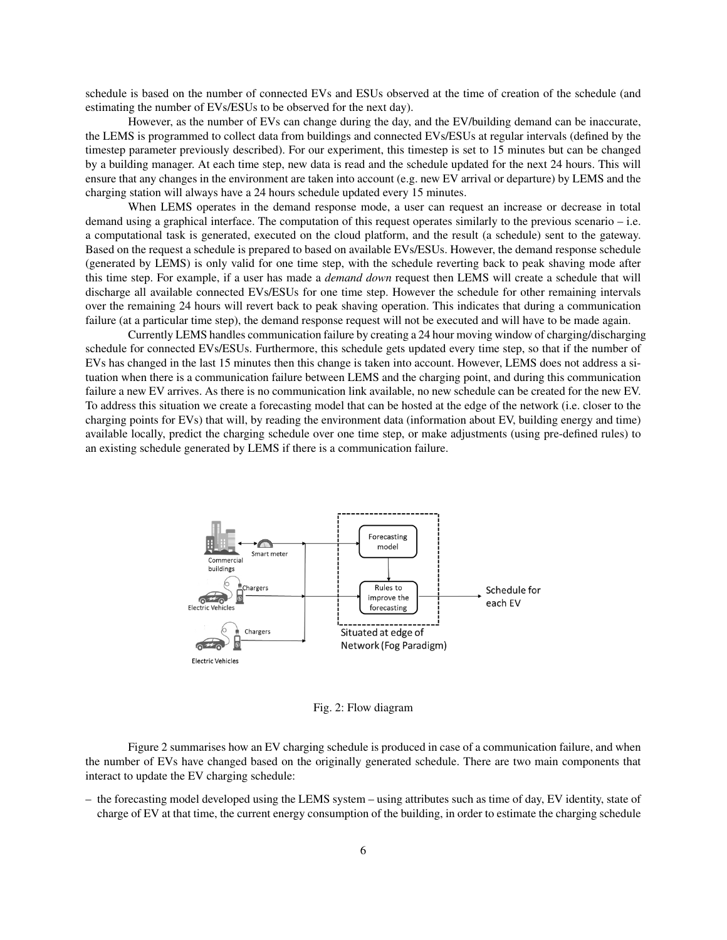schedule is based on the number of connected EVs and ESUs observed at the time of creation of the schedule (and estimating the number of EVs/ESUs to be observed for the next day).

However, as the number of EVs can change during the day, and the EV/building demand can be inaccurate, the LEMS is programmed to collect data from buildings and connected EVs/ESUs at regular intervals (defined by the timestep parameter previously described). For our experiment, this timestep is set to 15 minutes but can be changed by a building manager. At each time step, new data is read and the schedule updated for the next 24 hours. This will ensure that any changes in the environment are taken into account (e.g. new EV arrival or departure) by LEMS and the charging station will always have a 24 hours schedule updated every 15 minutes.

When LEMS operates in the demand response mode, a user can request an increase or decrease in total demand using a graphical interface. The computation of this request operates similarly to the previous scenario – i.e. a computational task is generated, executed on the cloud platform, and the result (a schedule) sent to the gateway. Based on the request a schedule is prepared to based on available EVs/ESUs. However, the demand response schedule (generated by LEMS) is only valid for one time step, with the schedule reverting back to peak shaving mode after this time step. For example, if a user has made a *demand down* request then LEMS will create a schedule that will discharge all available connected EVs/ESUs for one time step. However the schedule for other remaining intervals over the remaining 24 hours will revert back to peak shaving operation. This indicates that during a communication failure (at a particular time step), the demand response request will not be executed and will have to be made again.

Currently LEMS handles communication failure by creating a 24 hour moving window of charging/discharging schedule for connected EVs/ESUs. Furthermore, this schedule gets updated every time step, so that if the number of EVs has changed in the last 15 minutes then this change is taken into account. However, LEMS does not address a situation when there is a communication failure between LEMS and the charging point, and during this communication failure a new EV arrives. As there is no communication link available, no new schedule can be created for the new EV. To address this situation we create a forecasting model that can be hosted at the edge of the network (i.e. closer to the charging points for EVs) that will, by reading the environment data (information about EV, building energy and time) available locally, predict the charging schedule over one time step, or make adjustments (using pre-defined rules) to an existing schedule generated by LEMS if there is a communication failure.



Fig. 2: Flow diagram

Figure 2 summarises how an EV charging schedule is produced in case of a communication failure, and when the number of EVs have changed based on the originally generated schedule. There are two main components that interact to update the EV charging schedule:

– the forecasting model developed using the LEMS system – using attributes such as time of day, EV identity, state of charge of EV at that time, the current energy consumption of the building, in order to estimate the charging schedule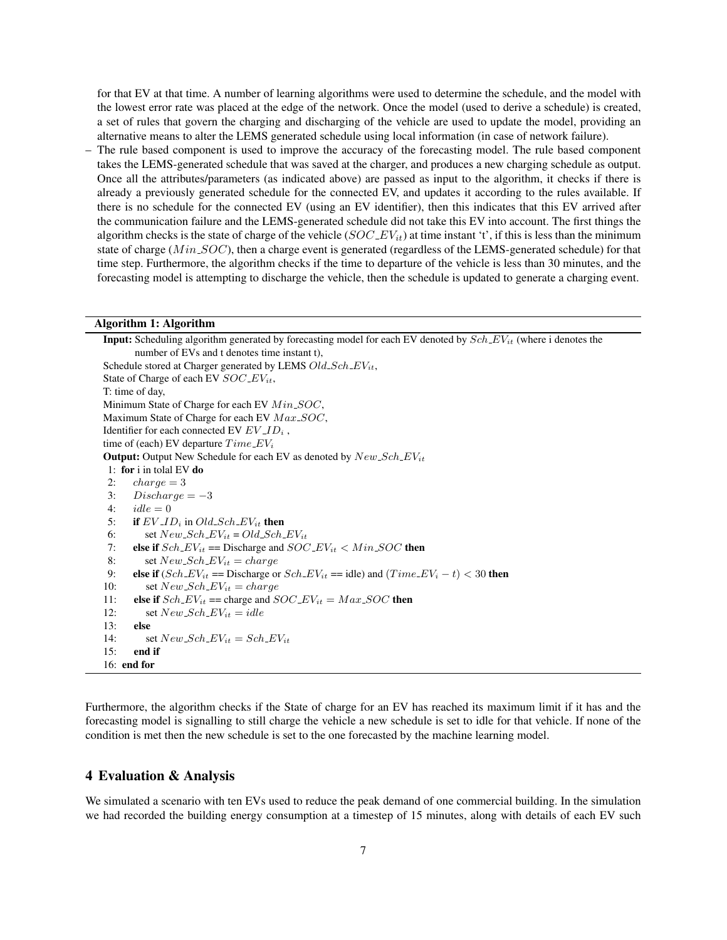for that EV at that time. A number of learning algorithms were used to determine the schedule, and the model with the lowest error rate was placed at the edge of the network. Once the model (used to derive a schedule) is created, a set of rules that govern the charging and discharging of the vehicle are used to update the model, providing an alternative means to alter the LEMS generated schedule using local information (in case of network failure).

– The rule based component is used to improve the accuracy of the forecasting model. The rule based component takes the LEMS-generated schedule that was saved at the charger, and produces a new charging schedule as output. Once all the attributes/parameters (as indicated above) are passed as input to the algorithm, it checks if there is already a previously generated schedule for the connected EV, and updates it according to the rules available. If there is no schedule for the connected EV (using an EV identifier), then this indicates that this EV arrived after the communication failure and the LEMS-generated schedule did not take this EV into account. The first things the algorithm checks is the state of charge of the vehicle  $(SOC\_EV_i)$  at time instant 't', if this is less than the minimum state of charge (*M in SOC*), then a charge event is generated (regardless of the LEMS-generated schedule) for that time step. Furthermore, the algorithm checks if the time to departure of the vehicle is less than 30 minutes, and the forecasting model is attempting to discharge the vehicle, then the schedule is updated to generate a charging event.

#### **Algorithm 1: Algorithm**

**Input:** Scheduling algorithm generated by forecasting model for each EV denoted by *Sch EVit* (where i denotes the number of EVs and t denotes time instant t), Schedule stored at Charger generated by LEMS *Old Sch EVit*, State of Charge of each EV *SOC EVit*, T: time of day, Minimum State of Charge for each EV *M in SOC*, Maximum State of Charge for each EV *M ax SOC*, Identifier for each connected EV *EV ID<sup>i</sup>* , time of (each) EV departure  $Time\_EV_i$ **Output:** Output New Schedule for each EV as denoted by *New Sch EVit* 1: **for** i in tolal EV **do** 2:  $charge = 3$ 3: *Discharge* = *−*3 4:  $idle = 0$ 5: **if**  $EV$   $ID$ <sup>*i*</sup> in  $Old$   $Sch$ <sub> $EV$ </sub><sup>*i*</sup> **then** 6: set  $New\_Sch\_EV_{it} = Old\_Sch\_EV_{it}$ 7: **else if**  $Sch_E V_{it} =$  Discharge and  $SOC_E V_{it} < Min\_SOC$  **then** 8: set  $New\_Sch\_EV_{it} = charge$ 9: **else if**  $(Sch_E V_{it} ==$  Discharge or  $Sch_E V_{it} ==$  idle) and  $(Time_E V_i - t) < 30$  then 10: set  $New\_Sch\_EV_{it} = charge$ 11: **else if**  $Sch_E V_{it} = \text{charge}$  and  $SOC_E V_{it} = Max\_SOC$  **then** 12: set  $New\_Sch\_EV_{it} = idle$ 13: **else** 14: set  $New\_Sch\_EV_{it} = Sch\_EV_{it}$ 15: **end if** 16: **end for**

Furthermore, the algorithm checks if the State of charge for an EV has reached its maximum limit if it has and the forecasting model is signalling to still charge the vehicle a new schedule is set to idle for that vehicle. If none of the condition is met then the new schedule is set to the one forecasted by the machine learning model.

### **4 Evaluation & Analysis**

We simulated a scenario with ten EVs used to reduce the peak demand of one commercial building. In the simulation we had recorded the building energy consumption at a timestep of 15 minutes, along with details of each EV such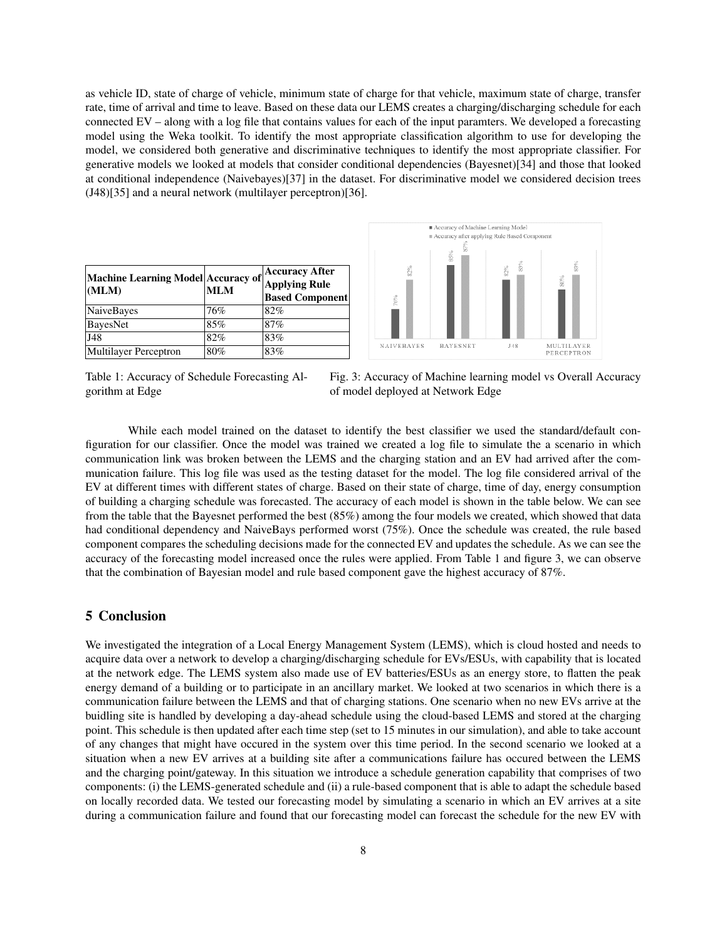as vehicle ID, state of charge of vehicle, minimum state of charge for that vehicle, maximum state of charge, transfer rate, time of arrival and time to leave. Based on these data our LEMS creates a charging/discharging schedule for each connected EV – along with a log file that contains values for each of the input paramters. We developed a forecasting model using the Weka toolkit. To identify the most appropriate classification algorithm to use for developing the model, we considered both generative and discriminative techniques to identify the most appropriate classifier. For generative models we looked at models that consider conditional dependencies (Bayesnet)[34] and those that looked at conditional independence (Naivebayes)[37] in the dataset. For discriminative model we considered decision trees (J48)[35] and a neural network (multilayer perceptron)[36].

| Machine Learning Model Accuracy of Accuracy After<br>(MLM) | <b>MLM</b> | Applying Rule<br><b>Based Component</b> |
|------------------------------------------------------------|------------|-----------------------------------------|
| NaiveBayes                                                 | 76%        | 82%                                     |
| <b>BayesNet</b>                                            | 85%        | 87%                                     |
| J48                                                        | 82%        | 83%                                     |
| Multilayer Perceptron                                      | 80%        | 83%                                     |



Table 1: Accuracy of Schedule Forecasting Algorithm at Edge

Fig. 3: Accuracy of Machine learning model vs Overall Accuracy of model deployed at Network Edge

While each model trained on the dataset to identify the best classifier we used the standard/default configuration for our classifier. Once the model was trained we created a log file to simulate the a scenario in which communication link was broken between the LEMS and the charging station and an EV had arrived after the communication failure. This log file was used as the testing dataset for the model. The log file considered arrival of the EV at different times with different states of charge. Based on their state of charge, time of day, energy consumption of building a charging schedule was forecasted. The accuracy of each model is shown in the table below. We can see from the table that the Bayesnet performed the best (85%) among the four models we created, which showed that data had conditional dependency and NaiveBays performed worst (75%). Once the schedule was created, the rule based component compares the scheduling decisions made for the connected EV and updates the schedule. As we can see the accuracy of the forecasting model increased once the rules were applied. From Table 1 and figure 3, we can observe that the combination of Bayesian model and rule based component gave the highest accuracy of 87%.

# **5 Conclusion**

We investigated the integration of a Local Energy Management System (LEMS), which is cloud hosted and needs to acquire data over a network to develop a charging/discharging schedule for EVs/ESUs, with capability that is located at the network edge. The LEMS system also made use of EV batteries/ESUs as an energy store, to flatten the peak energy demand of a building or to participate in an ancillary market. We looked at two scenarios in which there is a communication failure between the LEMS and that of charging stations. One scenario when no new EVs arrive at the buidling site is handled by developing a day-ahead schedule using the cloud-based LEMS and stored at the charging point. This schedule is then updated after each time step (set to 15 minutes in our simulation), and able to take account of any changes that might have occured in the system over this time period. In the second scenario we looked at a situation when a new EV arrives at a building site after a communications failure has occured between the LEMS and the charging point/gateway. In this situation we introduce a schedule generation capability that comprises of two components: (i) the LEMS-generated schedule and (ii) a rule-based component that is able to adapt the schedule based on locally recorded data. We tested our forecasting model by simulating a scenario in which an EV arrives at a site during a communication failure and found that our forecasting model can forecast the schedule for the new EV with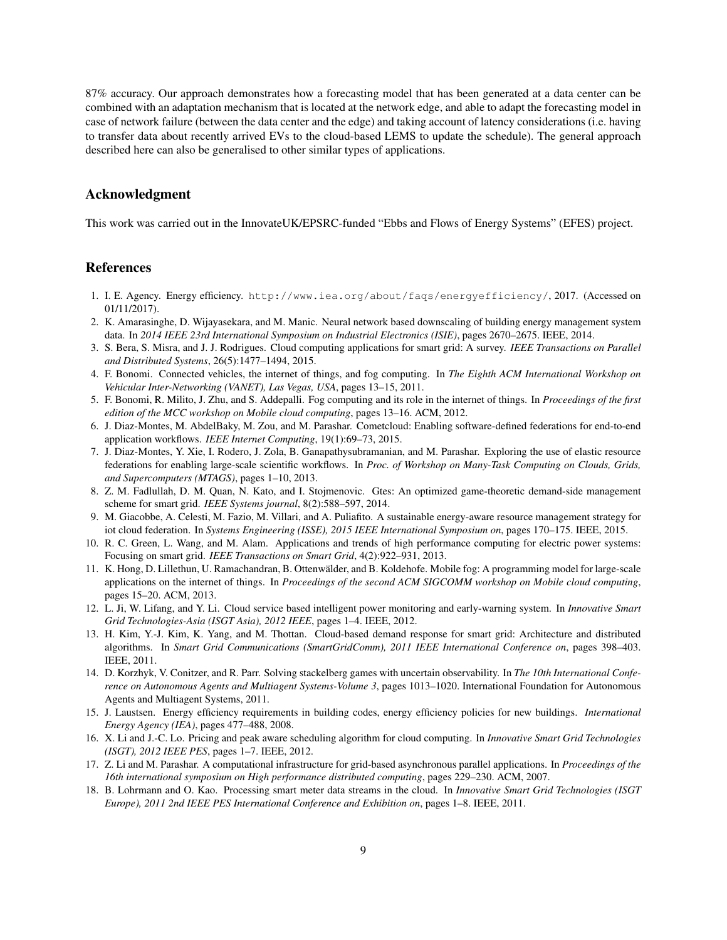87% accuracy. Our approach demonstrates how a forecasting model that has been generated at a data center can be combined with an adaptation mechanism that is located at the network edge, and able to adapt the forecasting model in case of network failure (between the data center and the edge) and taking account of latency considerations (i.e. having to transfer data about recently arrived EVs to the cloud-based LEMS to update the schedule). The general approach described here can also be generalised to other similar types of applications.

# **Acknowledgment**

This work was carried out in the InnovateUK/EPSRC-funded "Ebbs and Flows of Energy Systems" (EFES) project.

# **References**

- 1. I. E. Agency. Energy efficiency. http://www.iea.org/about/faqs/energyefficiency/, 2017. (Accessed on 01/11/2017).
- 2. K. Amarasinghe, D. Wijayasekara, and M. Manic. Neural network based downscaling of building energy management system data. In *2014 IEEE 23rd International Symposium on Industrial Electronics (ISIE)*, pages 2670–2675. IEEE, 2014.
- 3. S. Bera, S. Misra, and J. J. Rodrigues. Cloud computing applications for smart grid: A survey. *IEEE Transactions on Parallel and Distributed Systems*, 26(5):1477–1494, 2015.
- 4. F. Bonomi. Connected vehicles, the internet of things, and fog computing. In *The Eighth ACM International Workshop on Vehicular Inter-Networking (VANET), Las Vegas, USA*, pages 13–15, 2011.
- 5. F. Bonomi, R. Milito, J. Zhu, and S. Addepalli. Fog computing and its role in the internet of things. In *Proceedings of the first edition of the MCC workshop on Mobile cloud computing*, pages 13–16. ACM, 2012.
- 6. J. Diaz-Montes, M. AbdelBaky, M. Zou, and M. Parashar. Cometcloud: Enabling software-defined federations for end-to-end application workflows. *IEEE Internet Computing*, 19(1):69–73, 2015.
- 7. J. Diaz-Montes, Y. Xie, I. Rodero, J. Zola, B. Ganapathysubramanian, and M. Parashar. Exploring the use of elastic resource federations for enabling large-scale scientific workflows. In *Proc. of Workshop on Many-Task Computing on Clouds, Grids, and Supercomputers (MTAGS)*, pages 1–10, 2013.
- 8. Z. M. Fadlullah, D. M. Quan, N. Kato, and I. Stojmenovic. Gtes: An optimized game-theoretic demand-side management scheme for smart grid. *IEEE Systems journal*, 8(2):588–597, 2014.
- 9. M. Giacobbe, A. Celesti, M. Fazio, M. Villari, and A. Puliafito. A sustainable energy-aware resource management strategy for iot cloud federation. In *Systems Engineering (ISSE), 2015 IEEE International Symposium on*, pages 170–175. IEEE, 2015.
- 10. R. C. Green, L. Wang, and M. Alam. Applications and trends of high performance computing for electric power systems: Focusing on smart grid. *IEEE Transactions on Smart Grid*, 4(2):922–931, 2013.
- 11. K. Hong, D. Lillethun, U. Ramachandran, B. Ottenwalder, and B. Koldehofe. Mobile fog: A programming model for large-scale ¨ applications on the internet of things. In *Proceedings of the second ACM SIGCOMM workshop on Mobile cloud computing*, pages 15–20. ACM, 2013.
- 12. L. Ji, W. Lifang, and Y. Li. Cloud service based intelligent power monitoring and early-warning system. In *Innovative Smart Grid Technologies-Asia (ISGT Asia), 2012 IEEE*, pages 1–4. IEEE, 2012.
- 13. H. Kim, Y.-J. Kim, K. Yang, and M. Thottan. Cloud-based demand response for smart grid: Architecture and distributed algorithms. In *Smart Grid Communications (SmartGridComm), 2011 IEEE International Conference on*, pages 398–403. IEEE, 2011.
- 14. D. Korzhyk, V. Conitzer, and R. Parr. Solving stackelberg games with uncertain observability. In *The 10th International Conference on Autonomous Agents and Multiagent Systems-Volume 3*, pages 1013–1020. International Foundation for Autonomous Agents and Multiagent Systems, 2011.
- 15. J. Laustsen. Energy efficiency requirements in building codes, energy efficiency policies for new buildings. *International Energy Agency (IEA)*, pages 477–488, 2008.
- 16. X. Li and J.-C. Lo. Pricing and peak aware scheduling algorithm for cloud computing. In *Innovative Smart Grid Technologies (ISGT), 2012 IEEE PES*, pages 1–7. IEEE, 2012.
- 17. Z. Li and M. Parashar. A computational infrastructure for grid-based asynchronous parallel applications. In *Proceedings of the 16th international symposium on High performance distributed computing*, pages 229–230. ACM, 2007.
- 18. B. Lohrmann and O. Kao. Processing smart meter data streams in the cloud. In *Innovative Smart Grid Technologies (ISGT Europe), 2011 2nd IEEE PES International Conference and Exhibition on*, pages 1–8. IEEE, 2011.